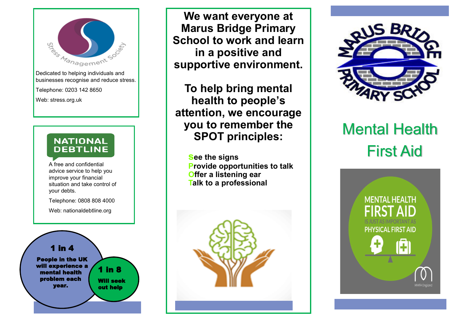

Dedicated to helping individuals and businesses recognise and reduce stress.

Telephone: 0203 142 8650

Web: stress.org.uk

#### **NATIONAL DEBTLINE**

**<sup>A</sup>**A free and confidential advice service to help you improve your financial situation and take control of your debts.

Telephone: 0808 808 4000

Web: nationaldebtline.org



**We want everyone at Marus Bridge Primary School to work and learn in a positive and supportive environment.**

**To help bring mental health to people's attention, we encourage you to remember the SPOT principles:**

> **see the signs Provide opportunities to talk Offer a listening ear Talk to a professional**





# Mental Health First Aid